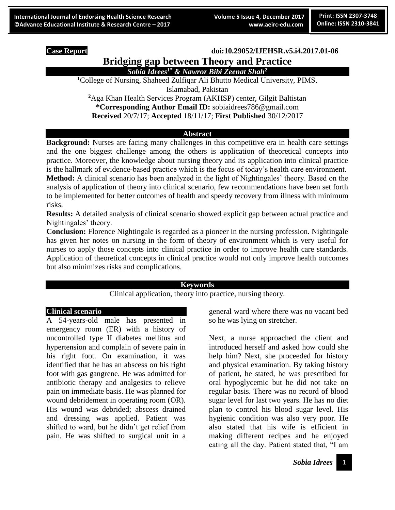#### **Case Report doi:10.29052/IJEHSR.v5.i4.2017.01-06**

# **Bridging gap between Theory and Practice** *Sobia Idrees1\* & Nawroz Bibi Zeenat Shah<sup>2</sup>*

**<sup>1</sup>**College of Nursing, Shaheed Zulfiqar Ali Bhutto Medical University, PIMS,

Islamabad, Pakistan

**<sup>2</sup>**Aga Khan Health Services Program (AKHSP) center, Gilgit Baltistan **\*Corresponding Author Email ID:** sobiaidrees786@gmail.com **Received** 20/7/17; **Accepted** 18/11/17; **First Published** 30/12/2017

#### **Abstract**

**Background:** Nurses are facing many challenges in this competitive era in health care settings and the one biggest challenge among the others is application of theoretical concepts into practice. Moreover, the knowledge about nursing theory and its application into clinical practice is the hallmark of evidence-based practice which is the focus of today's health care environment. **Method:** A clinical scenario has been analyzed in the light of Nightingales' theory. Based on the analysis of application of theory into clinical scenario, few recommendations have been set forth to be implemented for better outcomes of health and speedy recovery from illness with minimum risks.

**Results:** A detailed analysis of clinical scenario showed explicit gap between actual practice and Nightingales' theory.

**Conclusion:** Florence Nightingale is regarded as a pioneer in the nursing profession. Nightingale has given her notes on nursing in the form of theory of environment which is very useful for nurses to apply those concepts into clinical practice in order to improve health care standards. Application of theoretical concepts in clinical practice would not only improve health outcomes but also minimizes risks and complications.

#### **Keywords**

Clinical application, theory into practice, nursing theory.

#### **Clinical scenario**

A 54-years-old male has presented in emergency room (ER) with a history of uncontrolled type II diabetes mellitus and hypertension and complain of severe pain in his right foot. On examination, it was identified that he has an abscess on his right foot with gas gangrene. He was admitted for antibiotic therapy and analgesics to relieve pain on immediate basis. He was planned for wound debridement in operating room (OR). His wound was debrided; abscess drained and dressing was applied. Patient was shifted to ward, but he didn't get relief from pain. He was shifted to surgical unit in a

general ward where there was no vacant bed so he was lying on stretcher.

Next, a nurse approached the client and introduced herself and asked how could she help him? Next, she proceeded for history and physical examination. By taking history of patient, he stated, he was prescribed for oral hypoglycemic but he did not take on regular basis. There was no record of blood sugar level for last two years. He has no diet plan to control his blood sugar level. His hygienic condition was also very poor. He also stated that his wife is efficient in making different recipes and he enjoyed eating all the day. Patient stated that, "I am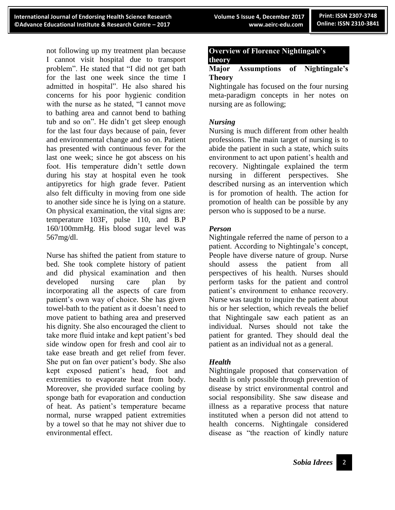not following up my treatment plan because I cannot visit hospital due to transport problem". He stated that "I did not get bath for the last one week since the time I admitted in hospital". He also shared his concerns for his poor hygienic condition with the nurse as he stated, "I cannot move to bathing area and cannot bend to bathing tub and so on". He didn't get sleep enough for the last four days because of pain, fever and environmental change and so on. Patient has presented with continuous fever for the last one week; since he got abscess on his foot. His temperature didn't settle down during his stay at hospital even he took antipyretics for high grade fever. Patient also felt difficulty in moving from one side to another side since he is lying on a stature. On physical examination, the vital signs are: temperature 103F, pulse 110, and B.P 160/100mmHg. His blood sugar level was 567mg/dl.

Nurse has shifted the patient from stature to bed. She took complete history of patient and did physical examination and then developed nursing care plan by incorporating all the aspects of care from patient's own way of choice. She has given towel-bath to the patient as it doesn't need to move patient to bathing area and preserved his dignity. She also encouraged the client to take more fluid intake and kept patient's bed side window open for fresh and cool air to take ease breath and get relief from fever. She put on fan over patient's body. She also kept exposed patient's head, foot and extremities to evaporate heat from body. Moreover, she provided surface cooling by sponge bath for evaporation and conduction of heat. As patient's temperature became normal, nurse wrapped patient extremities by a towel so that he may not shiver due to environmental effect.

# **Overview of Florence Nightingale's theory**

# **Major Assumptions of Nightingale's Theory**

Nightingale has focused on the four nursing meta-paradigm concepts in her notes on nursing are as following;

# *Nursing*

Nursing is much different from other health professions. The main target of nursing is to abide the patient in such a state, which suits environment to act upon patient's health and recovery. Nightingale explained the term nursing in different perspectives. She described nursing as an intervention which is for promotion of health. The action for promotion of health can be possible by any person who is supposed to be a nurse.

# *Person*

Nightingale referred the name of person to a patient. According to Nightingale's concept, People have diverse nature of group. Nurse should assess the patient from all perspectives of his health. Nurses should perform tasks for the patient and control patient's environment to enhance recovery. Nurse was taught to inquire the patient about his or her selection, which reveals the belief that Nightingale saw each patient as an individual. Nurses should not take the patient for granted. They should deal the patient as an individual not as a general.

# *Health*

Nightingale proposed that conservation of health is only possible through prevention of disease by strict environmental control and social responsibility. She saw disease and illness as a reparative process that nature instituted when a person did not attend to health concerns. Nightingale considered disease as "the reaction of kindly nature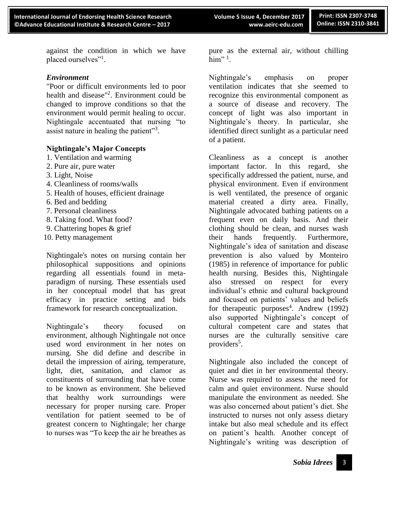against the condition in which we have placed ourselves"<sup>1</sup>.

#### *Environment*

"Poor or difficult environments led to poor health and disease"<sup>2</sup> . Environment could be changed to improve conditions so that the environment would permit healing to occur. Nightingale accentuated that nursing "to assist nature in healing the patient"<sup>3</sup>.

### **Nightingale's Major Concepts**

- 1. Ventilation and warming
- 2. Pure air, pure water
- 3. Light, Noise
- 4. Cleanliness of rooms/walls
- 5. Health of houses, efficient drainage
- 6. Bed and bedding
- 7. Personal cleanliness
- 8. Taking food. What food?
- 9. Chattering hopes & grief
- 10. Petty management

Nightingale's notes on nursing contain her philosophical suppositions and opinions regarding all essentials found in metaparadigm of nursing. These essentials used in her conceptual model that has great efficacy in practice setting and bids framework for research conceptualization.

Nightingale's theory focused on environment, although Nightingale not once used word environment in her notes on nursing. She did define and describe in detail the impression of airing, temperature, light, diet, sanitation, and clamor as constituents of surrounding that have come to be known as environment. She believed that healthy work surroundings were necessary for proper nursing care. Proper ventilation for patient seemed to be of greatest concern to Nightingale; her charge to nurses was "To keep the air he breathes as

pure as the external air, without chilling him" $^1$ .

Nightingale's emphasis on proper ventilation indicates that she seemed to recognize this environmental component as a source of disease and recovery. The concept of light was also important in Nightingale's theory. In particular, she identified direct sunlight as a particular need of a patient.

Cleanliness as a concept is another important factor. In this regard, she specifically addressed the patient, nurse, and physical environment. Even if environment is well ventilated, the presence of organic material created a dirty area. Finally, Nightingale advocated bathing patients on a frequent even on daily basis. And their clothing should be clean, and nurses wash their hands frequently. Furthermore, Nightingale's idea of sanitation and disease prevention is also valued by Monteiro (1985) in reference of importance for public health nursing. Besides this, Nightingale also stressed on respect for every individual's ethnic and cultural background and focused on patients' values and beliefs for the rapeutic purposes<sup>4</sup>. Andrew (1992) also supported Nightingale's concept of cultural competent care and states that nurses are the culturally sensitive care providers<sup>5</sup>.

Nightingale also included the concept of quiet and diet in her environmental theory. Nurse was required to assess the need for calm and quiet environment. Nurse should manipulate the environment as needed. She was also concerned about patient's diet. She instructed to nurses not only assess dietary intake but also meal schedule and its effect on patient's health. Another concept of Nightingale's writing was description of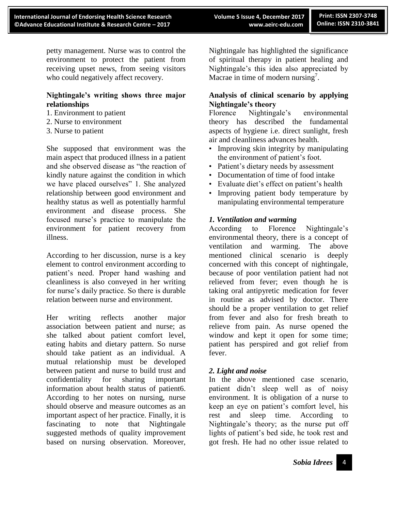petty management. Nurse was to control the environment to protect the patient from receiving upset news, from seeing visitors who could negatively affect recovery.

# **Nightingale's writing shows three major relationships**

- 1. Environment to patient
- 2. Nurse to environment
- 3. Nurse to patient

She supposed that environment was the main aspect that produced illness in a patient and she observed disease as "the reaction of kindly nature against the condition in which we have placed ourselves" 1. She analyzed relationship between good environment and healthy status as well as potentially harmful environment and disease process. She focused nurse's practice to manipulate the environment for patient recovery from illness.

According to her discussion, nurse is a key element to control environment according to patient's need. Proper hand washing and cleanliness is also conveyed in her writing for nurse's daily practice. So there is durable relation between nurse and environment.

Her writing reflects another major association between patient and nurse; as she talked about patient comfort level, eating habits and dietary pattern. So nurse should take patient as an individual. A mutual relationship must be developed between patient and nurse to build trust and confidentiality for sharing important information about health status of patient6. According to her notes on nursing, nurse should observe and measure outcomes as an important aspect of her practice. Finally, it is fascinating to note that Nightingale suggested methods of quality improvement based on nursing observation. Moreover,

Nightingale has highlighted the significance of spiritual therapy in patient healing and Nightingale's this idea also appreciated by Macrae in time of modern nursing<sup>7</sup>.

# **Analysis of clinical scenario by applying Nightingale's theory**

Florence Nightingale's environmental theory has described the fundamental aspects of hygiene i.e. direct sunlight, fresh air and cleanliness advances health.

- Improving skin integrity by manipulating the environment of patient's foot.
- Patient's dietary needs by assessment
- Documentation of time of food intake
- Evaluate diet's effect on patient's health
- Improving patient body temperature by manipulating environmental temperature

# *1. Ventilation and warming*

According to Florence Nightingale's environmental theory, there is a concept of ventilation and warming. The above mentioned clinical scenario is deeply concerned with this concept of nightingale, because of poor ventilation patient had not relieved from fever; even though he is taking oral antipyretic medication for fever in routine as advised by doctor. There should be a proper ventilation to get relief from fever and also for fresh breath to relieve from pain. As nurse opened the window and kept it open for some time; patient has perspired and got relief from fever.

# *2. Light and noise*

In the above mentioned case scenario, patient didn't sleep well as of noisy environment. It is obligation of a nurse to keep an eye on patient's comfort level, his rest and sleep time. According to Nightingale's theory; as the nurse put off lights of patient's bed side, he took rest and got fresh. He had no other issue related to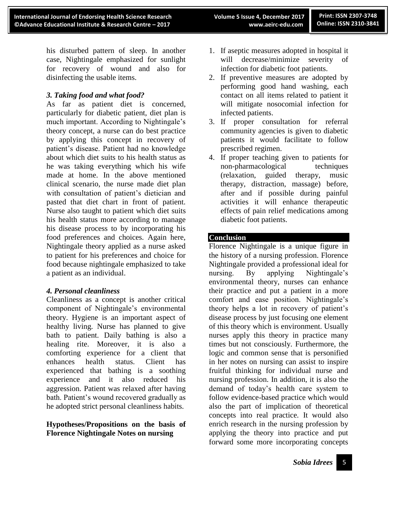his disturbed pattern of sleep. In another case, Nightingale emphasized for sunlight for recovery of wound and also for disinfecting the usable items.

# *3. Taking food and what food?*

As far as patient diet is concerned, particularly for diabetic patient, diet plan is much important. According to Nightingale's theory concept, a nurse can do best practice by applying this concept in recovery of patient's disease. Patient had no knowledge about which diet suits to his health status as he was taking everything which his wife made at home. In the above mentioned clinical scenario, the nurse made diet plan with consultation of patient's dietician and pasted that diet chart in front of patient. Nurse also taught to patient which diet suits his health status more according to manage his disease process to by incorporating his food preferences and choices. Again here, Nightingale theory applied as a nurse asked to patient for his preferences and choice for food because nightingale emphasized to take a patient as an individual.

### *4. Personal cleanliness*

Cleanliness as a concept is another critical component of Nightingale's environmental theory. Hygiene is an important aspect of healthy living. Nurse has planned to give bath to patient. Daily bathing is also a healing rite. Moreover, it is also a comforting experience for a client that enhances health status. Client has experienced that bathing is a soothing experience and it also reduced his aggression. Patient was relaxed after having bath. Patient's wound recovered gradually as he adopted strict personal cleanliness habits.

# **Hypotheses/Propositions on the basis of Florence Nightingale Notes on nursing**

- 1. If aseptic measures adopted in hospital it will decrease/minimize severity of infection for diabetic foot patients.
- 2. If preventive measures are adopted by performing good hand washing, each contact on all items related to patient it will mitigate nosocomial infection for infected patients.
- 3. If proper consultation for referral community agencies is given to diabetic patients it would facilitate to follow prescribed regimen.
- 4. If proper teaching given to patients for non-pharmacological techniques (relaxation, guided therapy, music therapy, distraction, massage) before, after and if possible during painful activities it will enhance therapeutic effects of pain relief medications among diabetic foot patients.

# **Conclusion**

Florence Nightingale is a unique figure in the history of a nursing profession. Florence Nightingale provided a professional ideal for nursing. By applying Nightingale's environmental theory, nurses can enhance their practice and put a patient in a more comfort and ease position. Nightingale's theory helps a lot in recovery of patient's disease process by just focusing one element of this theory which is environment. Usually nurses apply this theory in practice many times but not consciously. Furthermore, the logic and common sense that is personified in her notes on nursing can assist to inspire fruitful thinking for individual nurse and nursing profession. In addition, it is also the demand of today's health care system to follow evidence-based practice which would also the part of implication of theoretical concepts into real practice. It would also enrich research in the nursing profession by applying the theory into practice and put forward some more incorporating concepts